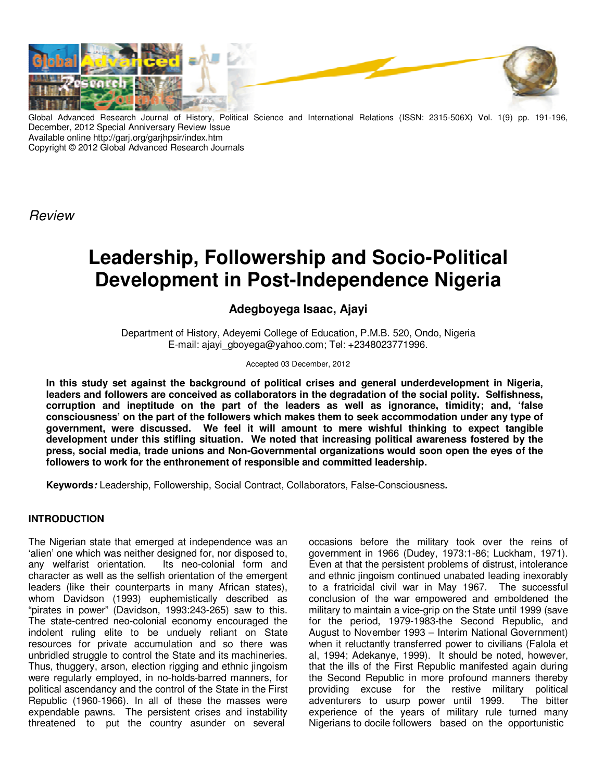

Advanced Research Journal of History, Political Science and International Relations (ISSN: 2315-506X) Vol. 1(9) pp. 191-196, December, 2012 Special Anniversary Review Issue Available online http://garj.org/garjhpsir/index.htm Copyright © 2012 Global Advanced Research Journals

*Review*

# **Leadership, Followership and Socio-Political Development in Post-Independence Nigeria**

## **Adegboyega Isaac, Ajayi**

Department of History, Adeyemi College of Education, P.M.B. 520, Ondo, Nigeria E-mail: ajayi\_gboyega@yahoo.com; Tel: +2348023771996.

### Accepted 03 December, 2012

**In this study set against the background of political crises and general underdevelopment in Nigeria, leaders and followers are conceived as collaborators in the degradation of the social polity. Selfishness, corruption and ineptitude on the part of the leaders as well as ignorance, timidity; and, 'false consciousness' on the part of the followers which makes them to seek accommodation under any type of government, were discussed. We feel it will amount to mere wishful thinking to expect tangible development under this stifling situation. We noted that increasing political awareness fostered by the press, social media, trade unions and Non-Governmental organizations would soon open the eyes of the followers to work for the enthronement of responsible and committed leadership.** 

**Keywords***:* Leadership, Followership, Social Contract, Collaborators, False-Consciousness*.* 

## **INTRODUCTION**

The Nigerian state that emerged at independence was an 'alien' one which was neither designed for, nor disposed to, any welfarist orientation. Its neo-colonial form and character as well as the selfish orientation of the emergent leaders (like their counterparts in many African states), whom Davidson (1993) euphemistically described as "pirates in power" (Davidson, 1993:243-265) saw to this. The state-centred neo-colonial economy encouraged the indolent ruling elite to be unduely reliant on State resources for private accumulation and so there was unbridled struggle to control the State and its machineries. Thus, thuggery, arson, election rigging and ethnic jingoism were regularly employed, in no-holds-barred manners, for political ascendancy and the control of the State in the First Republic (1960-1966). In all of these the masses were expendable pawns. The persistent crises and instability threatened to put the country asunder on several

occasions before the military took over the reins of government in 1966 (Dudey, 1973:1-86; Luckham, 1971). Even at that the persistent problems of distrust, intolerance and ethnic jingoism continued unabated leading inexorably to a fratricidal civil war in May 1967. The successful conclusion of the war empowered and emboldened the military to maintain a vice-grip on the State until 1999 (save for the period, 1979-1983-the Second Republic, and August to November 1993 – Interim National Government) when it reluctantly transferred power to civilians (Falola et al, 1994; Adekanye, 1999). It should be noted, however, that the ills of the First Republic manifested again during the Second Republic in more profound manners thereby providing excuse for the restive military political adventurers to usurp power until 1999. The bitter experience of the years of military rule turned many Nigerians to docile followers based on the opportunistic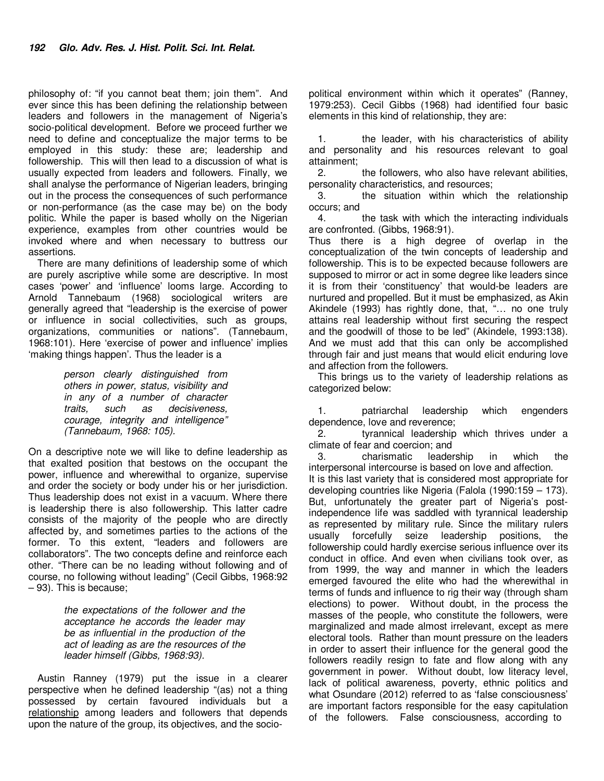philosophy of: "if you cannot beat them; join them". And ever since this has been defining the relationship between leaders and followers in the management of Nigeria's socio-political development. Before we proceed further we need to define and conceptualize the major terms to be employed in this study: these are; leadership and followership. This will then lead to a discussion of what is usually expected from leaders and followers. Finally, we shall analyse the performance of Nigerian leaders, bringing out in the process the consequences of such performance or non-performance (as the case may be) on the body politic. While the paper is based wholly on the Nigerian experience, examples from other countries would be invoked where and when necessary to buttress our assertions.

There are many definitions of leadership some of which are purely ascriptive while some are descriptive. In most cases 'power' and 'influence' looms large. According to Arnold Tannebaum (1968) sociological writers are generally agreed that "leadership is the exercise of power or influence in social collectivities, such as groups, organizations, communities or nations". (Tannebaum, 1968:101). Here 'exercise of power and influence' implies 'making things happen'. Thus the leader is a

> *person clearly distinguished from others in power, status, visibility and in any of a number of character traits, such as decisiveness, courage, integrity and intelligence" (Tannebaum, 1968: 105).*

On a descriptive note we will like to define leadership as that exalted position that bestows on the occupant the power, influence and wherewithal to organize, supervise and order the society or body under his or her jurisdiction. Thus leadership does not exist in a vacuum. Where there is leadership there is also followership. This latter cadre consists of the majority of the people who are directly affected by, and sometimes parties to the actions of the former. To this extent, "leaders and followers are collaborators". The two concepts define and reinforce each other. "There can be no leading without following and of course, no following without leading" (Cecil Gibbs, 1968:92 – 93). This is because;

> *the expectations of the follower and the acceptance he accords the leader may be as influential in the production of the act of leading as are the resources of the leader himself (Gibbs, 1968:93).*

Austin Ranney (1979) put the issue in a clearer perspective when he defined leadership "(as) not a thing possessed by certain favoured individuals but a relationship among leaders and followers that depends upon the nature of the group, its objectives, and the sociopolitical environment within which it operates" (Ranney, 1979:253). Cecil Gibbs (1968) had identified four basic elements in this kind of relationship, they are:

1. the leader, with his characteristics of ability and personality and his resources relevant to goal attainment;

the followers, who also have relevant abilities, personality characteristics, and resources;

3. the situation within which the relationship occurs; and

4. the task with which the interacting individuals are confronted. (Gibbs, 1968:91).

Thus there is a high degree of overlap in the conceptualization of the twin concepts of leadership and followership. This is to be expected because followers are supposed to mirror or act in some degree like leaders since it is from their 'constituency' that would-be leaders are nurtured and propelled. But it must be emphasized, as Akin Akindele (1993) has rightly done, that, "… no one truly attains real leadership without first securing the respect and the goodwill of those to be led" (Akindele, 1993:138). And we must add that this can only be accomplished through fair and just means that would elicit enduring love and affection from the followers.

This brings us to the variety of leadership relations as categorized below:

1. patriarchal leadership which engenders dependence, love and reverence;

2. tyrannical leadership which thrives under a climate of fear and coercion; and

3. charismatic leadership in which the interpersonal intercourse is based on love and affection. It is this last variety that is considered most appropriate for developing countries like Nigeria (Falola (1990:159 – 173). But, unfortunately the greater part of Nigeria's postindependence life was saddled with tyrannical leadership as represented by military rule. Since the military rulers usually forcefully seize leadership positions, the followership could hardly exercise serious influence over its conduct in office. And even when civilians took over, as from 1999, the way and manner in which the leaders emerged favoured the elite who had the wherewithal in terms of funds and influence to rig their way (through sham elections) to power. Without doubt, in the process the masses of the people, who constitute the followers, were marginalized and made almost irrelevant, except as mere electoral tools. Rather than mount pressure on the leaders in order to assert their influence for the general good the followers readily resign to fate and flow along with any government in power. Without doubt, low literacy level, lack of political awareness, poverty, ethnic politics and what Osundare (2012) referred to as 'false consciousness' are important factors responsible for the easy capitulation of the followers. False consciousness, according to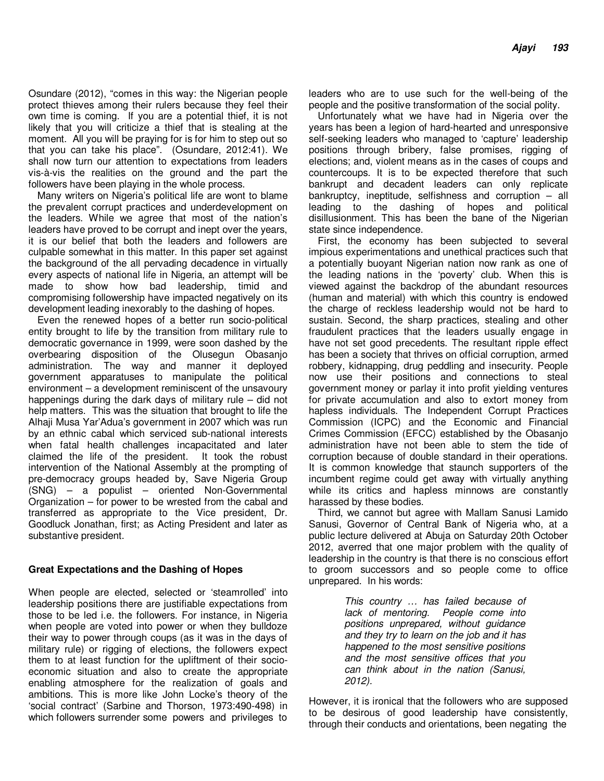Osundare (2012), "comes in this way: the Nigerian people protect thieves among their rulers because they feel their own time is coming. If you are a potential thief, it is not likely that you will criticize a thief that is stealing at the moment. All you will be praying for is for him to step out so that you can take his place". (Osundare, 2012:41). We shall now turn our attention to expectations from leaders vis-à-vis the realities on the ground and the part the followers have been playing in the whole process.

Many writers on Nigeria's political life are wont to blame the prevalent corrupt practices and underdevelopment on the leaders. While we agree that most of the nation's leaders have proved to be corrupt and inept over the years, it is our belief that both the leaders and followers are culpable somewhat in this matter. In this paper set against the background of the all pervading decadence in virtually every aspects of national life in Nigeria, an attempt will be made to show how bad leadership, timid and compromising followership have impacted negatively on its development leading inexorably to the dashing of hopes.

Even the renewed hopes of a better run socio-political entity brought to life by the transition from military rule to democratic governance in 1999, were soon dashed by the overbearing disposition of the Olusegun Obasanjo administration. The way and manner it deployed government apparatuses to manipulate the political environment – a development reminiscent of the unsavoury happenings during the dark days of military rule – did not help matters. This was the situation that brought to life the Alhaji Musa Yar'Adua's government in 2007 which was run by an ethnic cabal which serviced sub-national interests when fatal health challenges incapacitated and later claimed the life of the president. It took the robust intervention of the National Assembly at the prompting of pre-democracy groups headed by, Save Nigeria Group (SNG) – a populist – oriented Non-Governmental Organization – for power to be wrested from the cabal and transferred as appropriate to the Vice president, Dr. Goodluck Jonathan, first; as Acting President and later as substantive president.

## **Great Expectations and the Dashing of Hopes**

When people are elected, selected or 'steamrolled' into leadership positions there are justifiable expectations from those to be led i.e. the followers. For instance, in Nigeria when people are voted into power or when they bulldoze their way to power through coups (as it was in the days of military rule) or rigging of elections, the followers expect them to at least function for the upliftment of their socioeconomic situation and also to create the appropriate enabling atmosphere for the realization of goals and ambitions. This is more like John Locke's theory of the 'social contract' (Sarbine and Thorson, 1973:490-498) in which followers surrender some powers and privileges to

leaders who are to use such for the well-being of the people and the positive transformation of the social polity.

Unfortunately what we have had in Nigeria over the years has been a legion of hard-hearted and unresponsive self-seeking leaders who managed to 'capture' leadership positions through bribery, false promises, rigging of elections; and, violent means as in the cases of coups and countercoups. It is to be expected therefore that such bankrupt and decadent leaders can only replicate bankruptcy, ineptitude, selfishness and corruption – all leading to the dashing of hopes and political disillusionment. This has been the bane of the Nigerian state since independence.

First, the economy has been subjected to several impious experimentations and unethical practices such that a potentially buoyant Nigerian nation now rank as one of the leading nations in the 'poverty' club. When this is viewed against the backdrop of the abundant resources (human and material) with which this country is endowed the charge of reckless leadership would not be hard to sustain. Second, the sharp practices, stealing and other fraudulent practices that the leaders usually engage in have not set good precedents. The resultant ripple effect has been a society that thrives on official corruption, armed robbery, kidnapping, drug peddling and insecurity. People now use their positions and connections to steal government money or parlay it into profit yielding ventures for private accumulation and also to extort money from hapless individuals. The Independent Corrupt Practices Commission (ICPC) and the Economic and Financial Crimes Commission (EFCC) established by the Obasanjo administration have not been able to stem the tide of corruption because of double standard in their operations. It is common knowledge that staunch supporters of the incumbent regime could get away with virtually anything while its critics and hapless minnows are constantly harassed by these bodies.

Third, we cannot but agree with Mallam Sanusi Lamido Sanusi, Governor of Central Bank of Nigeria who, at a public lecture delivered at Abuja on Saturday 20th October 2012, averred that one major problem with the quality of leadership in the country is that there is no conscious effort to groom successors and so people come to office unprepared. In his words:

> *This country … has failed because of lack of mentoring. People come into positions unprepared, without guidance and they try to learn on the job and it has happened to the most sensitive positions and the most sensitive offices that you can think about in the nation (Sanusi, 2012).*

However, it is ironical that the followers who are supposed to be desirous of good leadership have consistently, through their conducts and orientations, been negating the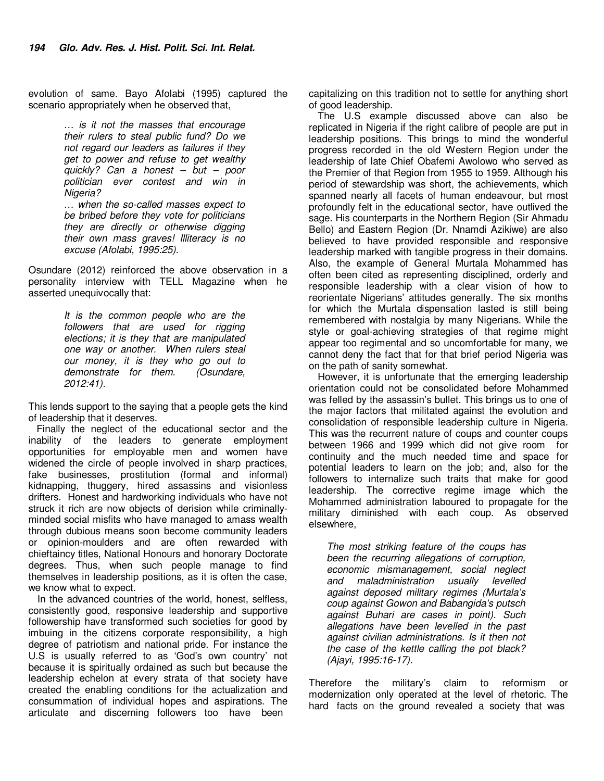evolution of same. Bayo Afolabi (1995) captured the scenario appropriately when he observed that,

> *… is it not the masses that encourage their rulers to steal public fund? Do we not regard our leaders as failures if they get to power and refuse to get wealthy quickly? Can a honest – but – poor politician ever contest and win in Nigeria?*

*… when the so-called masses expect to be bribed before they vote for politicians they are directly or otherwise digging their own mass graves! Illiteracy is no excuse (Afolabi, 1995:25).* 

Osundare (2012) reinforced the above observation in a personality interview with TELL Magazine when he asserted unequivocally that:

> *It is the common people who are the followers that are used for rigging elections; it is they that are manipulated one way or another. When rulers steal our money, it is they who go out to demonstrate for them. (Osundare, 2012:41).*

This lends support to the saying that a people gets the kind of leadership that it deserves.

 Finally the neglect of the educational sector and the inability of the leaders to generate employment opportunities for employable men and women have widened the circle of people involved in sharp practices, fake businesses, prostitution (formal and informal) kidnapping, thuggery, hired assassins and visionless drifters. Honest and hardworking individuals who have not struck it rich are now objects of derision while criminallyminded social misfits who have managed to amass wealth through dubious means soon become community leaders or opinion-moulders and are often rewarded with chieftaincy titles, National Honours and honorary Doctorate degrees. Thus, when such people manage to find themselves in leadership positions, as it is often the case, we know what to expect.

In the advanced countries of the world, honest, selfless, consistently good, responsive leadership and supportive followership have transformed such societies for good by imbuing in the citizens corporate responsibility, a high degree of patriotism and national pride. For instance the U.S is usually referred to as 'God's own country' not because it is spiritually ordained as such but because the leadership echelon at every strata of that society have created the enabling conditions for the actualization and consummation of individual hopes and aspirations. The articulate and discerning followers too have been

capitalizing on this tradition not to settle for anything short of good leadership.

The U.S example discussed above can also be replicated in Nigeria if the right calibre of people are put in leadership positions. This brings to mind the wonderful progress recorded in the old Western Region under the leadership of late Chief Obafemi Awolowo who served as the Premier of that Region from 1955 to 1959. Although his period of stewardship was short, the achievements, which spanned nearly all facets of human endeavour, but most profoundly felt in the educational sector, have outlived the sage. His counterparts in the Northern Region (Sir Ahmadu Bello) and Eastern Region (Dr. Nnamdi Azikiwe) are also believed to have provided responsible and responsive leadership marked with tangible progress in their domains. Also, the example of General Murtala Mohammed has often been cited as representing disciplined, orderly and responsible leadership with a clear vision of how to reorientate Nigerians' attitudes generally. The six months for which the Murtala dispensation lasted is still being remembered with nostalgia by many Nigerians. While the style or goal-achieving strategies of that regime might appear too regimental and so uncomfortable for many, we cannot deny the fact that for that brief period Nigeria was on the path of sanity somewhat.

However, it is unfortunate that the emerging leadership orientation could not be consolidated before Mohammed was felled by the assassin's bullet. This brings us to one of the major factors that militated against the evolution and consolidation of responsible leadership culture in Nigeria. This was the recurrent nature of coups and counter coups between 1966 and 1999 which did not give room for continuity and the much needed time and space for potential leaders to learn on the job; and, also for the followers to internalize such traits that make for good leadership. The corrective regime image which the Mohammed administration laboured to propagate for the military diminished with each coup. As observed elsewhere,

*The most striking feature of the coups has been the recurring allegations of corruption, economic mismanagement, social neglect and maladministration usually levelled against deposed military regimes (Murtala's coup against Gowon and Babangida's putsch against Buhari are cases in point). Such allegations have been levelled in the past against civilian administrations. Is it then not the case of the kettle calling the pot black? (Ajayi, 1995:16-17).* 

Therefore the military's claim to reformism or modernization only operated at the level of rhetoric. The hard facts on the ground revealed a society that was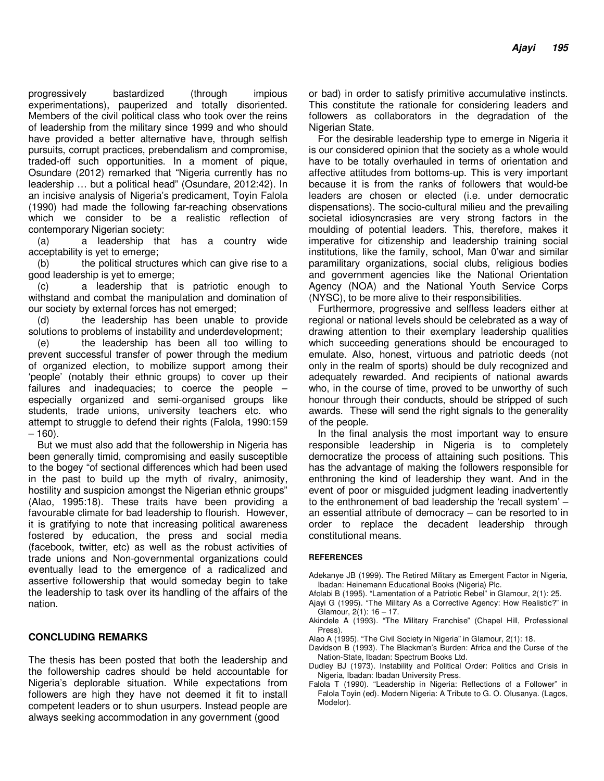progressively bastardized (through impious experimentations), pauperized and totally disoriented. Members of the civil political class who took over the reins of leadership from the military since 1999 and who should have provided a better alternative have, through selfish pursuits, corrupt practices, prebendalism and compromise, traded-off such opportunities. In a moment of pique, Osundare (2012) remarked that "Nigeria currently has no leadership … but a political head" (Osundare, 2012:42). In an incisive analysis of Nigeria's predicament, Toyin Falola (1990) had made the following far-reaching observations which we consider to be a realistic reflection of contemporary Nigerian society:

(a) a leadership that has a country wide acceptability is yet to emerge;

(b) the political structures which can give rise to a good leadership is yet to emerge;

(c) a leadership that is patriotic enough to withstand and combat the manipulation and domination of our society by external forces has not emerged;

(d) the leadership has been unable to provide solutions to problems of instability and underdevelopment;

(e) the leadership has been all too willing to prevent successful transfer of power through the medium of organized election, to mobilize support among their 'people' (notably their ethnic groups) to cover up their failures and inadequacies; to coerce the people – especially organized and semi-organised groups like students, trade unions, university teachers etc. who attempt to struggle to defend their rights (Falola, 1990:159 – 160).

But we must also add that the followership in Nigeria has been generally timid, compromising and easily susceptible to the bogey "of sectional differences which had been used in the past to build up the myth of rivalry, animosity, hostility and suspicion amongst the Nigerian ethnic groups" (Alao, 1995:18). These traits have been providing a favourable climate for bad leadership to flourish. However, it is gratifying to note that increasing political awareness fostered by education, the press and social media (facebook, twitter, etc) as well as the robust activities of trade unions and Non-governmental organizations could eventually lead to the emergence of a radicalized and assertive followership that would someday begin to take the leadership to task over its handling of the affairs of the nation.

## **CONCLUDING REMARKS**

The thesis has been posted that both the leadership and the followership cadres should be held accountable for Nigeria's deplorable situation. While expectations from followers are high they have not deemed it fit to install competent leaders or to shun usurpers. Instead people are always seeking accommodation in any government (good

or bad) in order to satisfy primitive accumulative instincts. This constitute the rationale for considering leaders and followers as collaborators in the degradation of the Nigerian State.

For the desirable leadership type to emerge in Nigeria it is our considered opinion that the society as a whole would have to be totally overhauled in terms of orientation and affective attitudes from bottoms-up. This is very important because it is from the ranks of followers that would-be leaders are chosen or elected (i.e. under democratic dispensations). The socio-cultural milieu and the prevailing societal idiosyncrasies are very strong factors in the moulding of potential leaders. This, therefore, makes it imperative for citizenship and leadership training social institutions, like the family, school, Man 0'war and similar paramilitary organizations, social clubs, religious bodies and government agencies like the National Orientation Agency (NOA) and the National Youth Service Corps (NYSC), to be more alive to their responsibilities.

Furthermore, progressive and selfless leaders either at regional or national levels should be celebrated as a way of drawing attention to their exemplary leadership qualities which succeeding generations should be encouraged to emulate. Also, honest, virtuous and patriotic deeds (not only in the realm of sports) should be duly recognized and adequately rewarded. And recipients of national awards who, in the course of time, proved to be unworthy of such honour through their conducts, should be stripped of such awards. These will send the right signals to the generality of the people.

In the final analysis the most important way to ensure responsible leadership in Nigeria is to completely democratize the process of attaining such positions. This has the advantage of making the followers responsible for enthroning the kind of leadership they want. And in the event of poor or misguided judgment leading inadvertently to the enthronement of bad leadership the 'recall system' – an essential attribute of democracy – can be resorted to in order to replace the decadent leadership through constitutional means.

#### **REFERENCES**

- Adekanye JB (1999). The Retired Military as Emergent Factor in Nigeria, Ibadan: Heinemann Educational Books (Nigeria) Plc.
- Afolabi B (1995). "Lamentation of a Patriotic Rebel" in Glamour, 2(1): 25.
- Ajayi G (1995). "The Military As a Corrective Agency: How Realistic?" in  $G$ lamour,  $2(1)$ : 16 – 17.
- Akindele A (1993). "The Military Franchise" (Chapel Hill, Professional Press).
- Alao A (1995). "The Civil Society in Nigeria" in Glamour, 2(1): 18.
- Davidson B (1993). The Blackman's Burden: Africa and the Curse of the Nation-State, Ibadan: Spectrum Books Ltd.
- Dudley BJ (1973). Instability and Political Order: Politics and Crisis in Nigeria, Ibadan: Ibadan University Press.
- Falola T (1990). "Leadership in Nigeria: Reflections of a Follower" in Falola Toyin (ed). Modern Nigeria: A Tribute to G. O. Olusanya. (Lagos, Modelor).